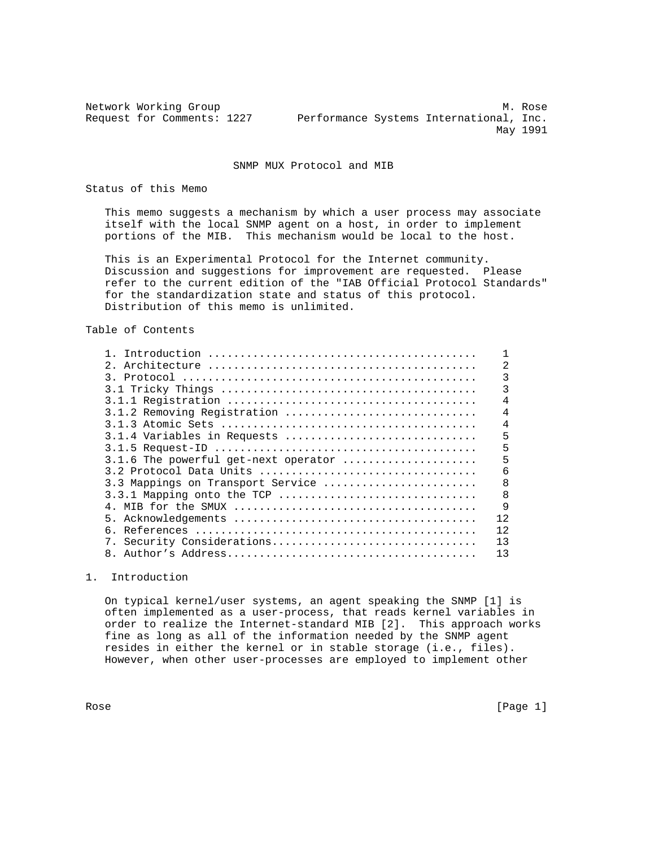Network Working Group Methods and Methods Methods Methods Methods Methods Methods Methods Methods Methods Methods Methods Methods Methods Methods Methods Methods Methods Methods Methods Methods Methods Methods Methods Meth Request for Comments: 1227 Performance Systems International, Inc. May 1991

SNMP MUX Protocol and MIB

Status of this Memo

 This memo suggests a mechanism by which a user process may associate itself with the local SNMP agent on a host, in order to implement portions of the MIB. This mechanism would be local to the host.

 This is an Experimental Protocol for the Internet community. Discussion and suggestions for improvement are requested. Please refer to the current edition of the "IAB Official Protocol Standards" for the standardization state and status of this protocol. Distribution of this memo is unlimited.

## Table of Contents

|                                      | 2   |
|--------------------------------------|-----|
|                                      | 3   |
|                                      | 3   |
|                                      | 4   |
| 3.1.2 Removing Registration          | 4   |
|                                      | 4   |
| 3.1.4 Variables in Requests          | 5   |
|                                      | 5   |
| 3.1.6 The powerful get-next operator | 5   |
| 3.2 Protocol Data Units              | 6   |
| 3.3 Mappings on Transport Service    | 8   |
| 3.3.1 Mapping onto the TCP           | 8   |
|                                      | 9   |
|                                      | 12  |
|                                      | 12  |
| 7. Security Considerations           | 13  |
|                                      | 1 ว |

1. Introduction

 On typical kernel/user systems, an agent speaking the SNMP [1] is often implemented as a user-process, that reads kernel variables in order to realize the Internet-standard MIB [2]. This approach works fine as long as all of the information needed by the SNMP agent resides in either the kernel or in stable storage (i.e., files). However, when other user-processes are employed to implement other

Rose [Page 1]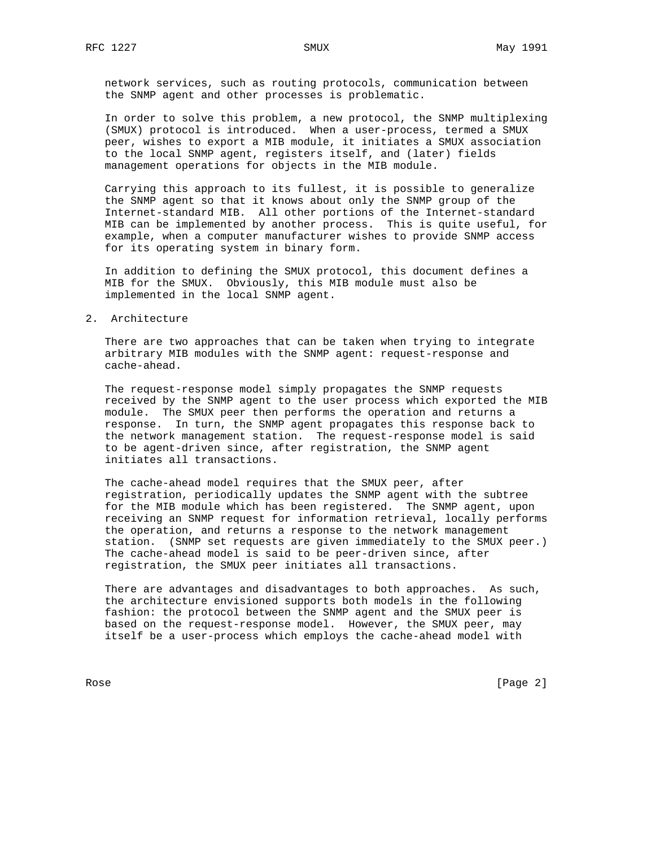network services, such as routing protocols, communication between the SNMP agent and other processes is problematic.

 In order to solve this problem, a new protocol, the SNMP multiplexing (SMUX) protocol is introduced. When a user-process, termed a SMUX peer, wishes to export a MIB module, it initiates a SMUX association to the local SNMP agent, registers itself, and (later) fields management operations for objects in the MIB module.

 Carrying this approach to its fullest, it is possible to generalize the SNMP agent so that it knows about only the SNMP group of the Internet-standard MIB. All other portions of the Internet-standard MIB can be implemented by another process. This is quite useful, for example, when a computer manufacturer wishes to provide SNMP access for its operating system in binary form.

 In addition to defining the SMUX protocol, this document defines a MIB for the SMUX. Obviously, this MIB module must also be implemented in the local SNMP agent.

2. Architecture

 There are two approaches that can be taken when trying to integrate arbitrary MIB modules with the SNMP agent: request-response and cache-ahead.

 The request-response model simply propagates the SNMP requests received by the SNMP agent to the user process which exported the MIB module. The SMUX peer then performs the operation and returns a response. In turn, the SNMP agent propagates this response back to the network management station. The request-response model is said to be agent-driven since, after registration, the SNMP agent initiates all transactions.

 The cache-ahead model requires that the SMUX peer, after registration, periodically updates the SNMP agent with the subtree for the MIB module which has been registered. The SNMP agent, upon receiving an SNMP request for information retrieval, locally performs the operation, and returns a response to the network management station. (SNMP set requests are given immediately to the SMUX peer.) The cache-ahead model is said to be peer-driven since, after registration, the SMUX peer initiates all transactions.

 There are advantages and disadvantages to both approaches. As such, the architecture envisioned supports both models in the following fashion: the protocol between the SNMP agent and the SMUX peer is based on the request-response model. However, the SMUX peer, may itself be a user-process which employs the cache-ahead model with

Rose [Page 2]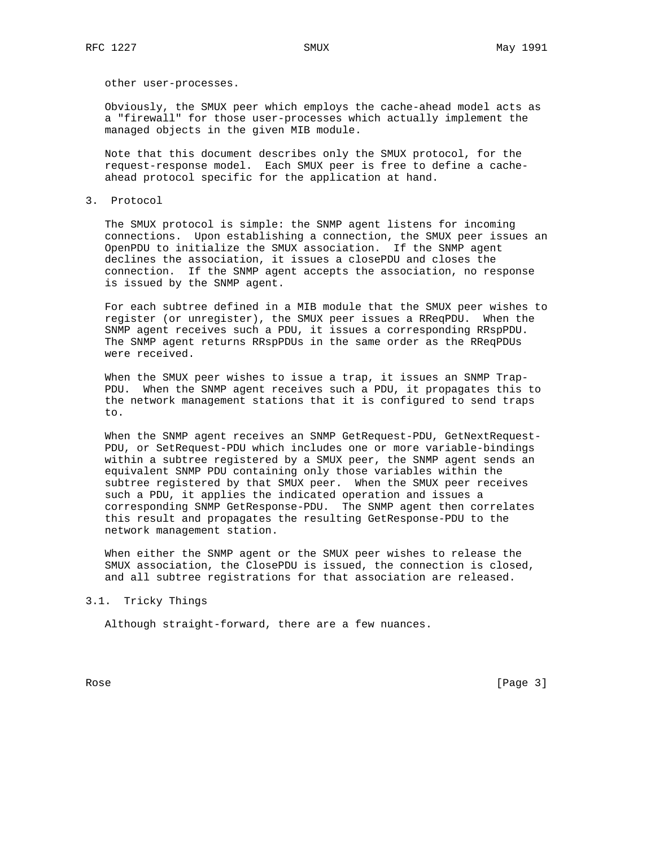other user-processes.

 Obviously, the SMUX peer which employs the cache-ahead model acts as a "firewall" for those user-processes which actually implement the managed objects in the given MIB module.

 Note that this document describes only the SMUX protocol, for the request-response model. Each SMUX peer is free to define a cache ahead protocol specific for the application at hand.

3. Protocol

 The SMUX protocol is simple: the SNMP agent listens for incoming connections. Upon establishing a connection, the SMUX peer issues an OpenPDU to initialize the SMUX association. If the SNMP agent declines the association, it issues a closePDU and closes the connection. If the SNMP agent accepts the association, no response is issued by the SNMP agent.

 For each subtree defined in a MIB module that the SMUX peer wishes to register (or unregister), the SMUX peer issues a RReqPDU. When the SNMP agent receives such a PDU, it issues a corresponding RRspPDU. The SNMP agent returns RRspPDUs in the same order as the RReqPDUs were received.

 When the SMUX peer wishes to issue a trap, it issues an SNMP Trap- PDU. When the SNMP agent receives such a PDU, it propagates this to the network management stations that it is configured to send traps to.

 When the SNMP agent receives an SNMP GetRequest-PDU, GetNextRequest- PDU, or SetRequest-PDU which includes one or more variable-bindings within a subtree registered by a SMUX peer, the SNMP agent sends an equivalent SNMP PDU containing only those variables within the subtree registered by that SMUX peer. When the SMUX peer receives such a PDU, it applies the indicated operation and issues a corresponding SNMP GetResponse-PDU. The SNMP agent then correlates this result and propagates the resulting GetResponse-PDU to the network management station.

 When either the SNMP agent or the SMUX peer wishes to release the SMUX association, the ClosePDU is issued, the connection is closed, and all subtree registrations for that association are released.

3.1. Tricky Things

Although straight-forward, there are a few nuances.

Rose [Page 3]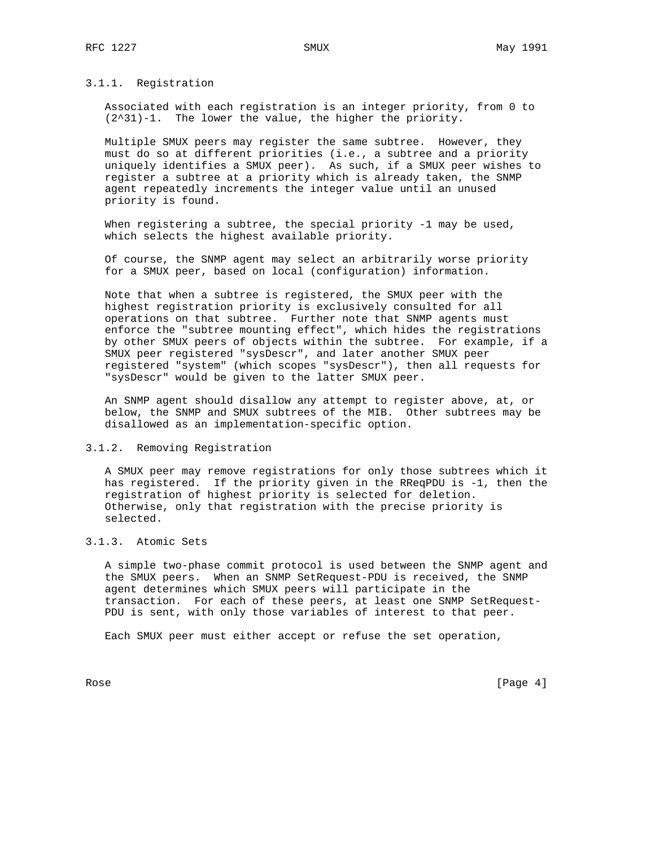## 3.1.1. Registration

 Associated with each registration is an integer priority, from 0 to (2^31)-1. The lower the value, the higher the priority.

 Multiple SMUX peers may register the same subtree. However, they must do so at different priorities (i.e., a subtree and a priority uniquely identifies a SMUX peer). As such, if a SMUX peer wishes to register a subtree at a priority which is already taken, the SNMP agent repeatedly increments the integer value until an unused priority is found.

When registering a subtree, the special priority -1 may be used, which selects the highest available priority.

 Of course, the SNMP agent may select an arbitrarily worse priority for a SMUX peer, based on local (configuration) information.

 Note that when a subtree is registered, the SMUX peer with the highest registration priority is exclusively consulted for all operations on that subtree. Further note that SNMP agents must enforce the "subtree mounting effect", which hides the registrations by other SMUX peers of objects within the subtree. For example, if a SMUX peer registered "sysDescr", and later another SMUX peer registered "system" (which scopes "sysDescr"), then all requests for "sysDescr" would be given to the latter SMUX peer.

 An SNMP agent should disallow any attempt to register above, at, or below, the SNMP and SMUX subtrees of the MIB. Other subtrees may be disallowed as an implementation-specific option.

### 3.1.2. Removing Registration

 A SMUX peer may remove registrations for only those subtrees which it has registered. If the priority given in the RReqPDU is -1, then the registration of highest priority is selected for deletion. Otherwise, only that registration with the precise priority is selected.

## 3.1.3. Atomic Sets

 A simple two-phase commit protocol is used between the SNMP agent and the SMUX peers. When an SNMP SetRequest-PDU is received, the SNMP agent determines which SMUX peers will participate in the transaction. For each of these peers, at least one SNMP SetRequest- PDU is sent, with only those variables of interest to that peer.

Each SMUX peer must either accept or refuse the set operation,

Rose [Page 4]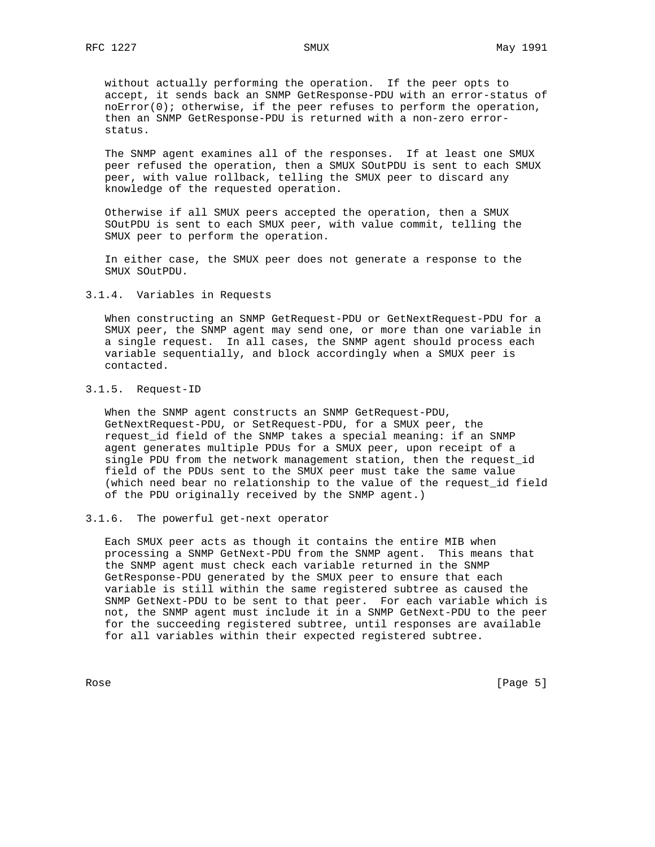without actually performing the operation. If the peer opts to accept, it sends back an SNMP GetResponse-PDU with an error-status of  $noError(0); otherwise, if the peer refuses to perform the operation,$  then an SNMP GetResponse-PDU is returned with a non-zero error status.

 The SNMP agent examines all of the responses. If at least one SMUX peer refused the operation, then a SMUX SOutPDU is sent to each SMUX peer, with value rollback, telling the SMUX peer to discard any knowledge of the requested operation.

 Otherwise if all SMUX peers accepted the operation, then a SMUX SOutPDU is sent to each SMUX peer, with value commit, telling the SMUX peer to perform the operation.

 In either case, the SMUX peer does not generate a response to the SMUX SOutPDU.

### 3.1.4. Variables in Requests

 When constructing an SNMP GetRequest-PDU or GetNextRequest-PDU for a SMUX peer, the SNMP agent may send one, or more than one variable in a single request. In all cases, the SNMP agent should process each variable sequentially, and block accordingly when a SMUX peer is contacted.

# 3.1.5. Request-ID

 When the SNMP agent constructs an SNMP GetRequest-PDU, GetNextRequest-PDU, or SetRequest-PDU, for a SMUX peer, the request\_id field of the SNMP takes a special meaning: if an SNMP agent generates multiple PDUs for a SMUX peer, upon receipt of a single PDU from the network management station, then the request\_id field of the PDUs sent to the SMUX peer must take the same value (which need bear no relationship to the value of the request\_id field of the PDU originally received by the SNMP agent.)

#### 3.1.6. The powerful get-next operator

 Each SMUX peer acts as though it contains the entire MIB when processing a SNMP GetNext-PDU from the SNMP agent. This means that the SNMP agent must check each variable returned in the SNMP GetResponse-PDU generated by the SMUX peer to ensure that each variable is still within the same registered subtree as caused the SNMP GetNext-PDU to be sent to that peer. For each variable which is not, the SNMP agent must include it in a SNMP GetNext-PDU to the peer for the succeeding registered subtree, until responses are available for all variables within their expected registered subtree.

Rose [Page 5]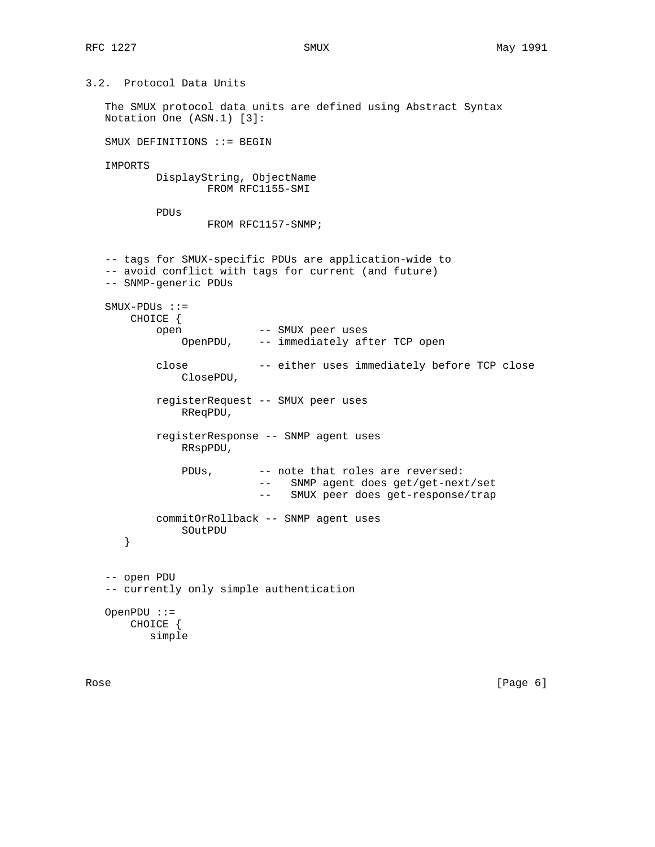3.2. Protocol Data Units The SMUX protocol data units are defined using Abstract Syntax Notation One (ASN.1) [3]: SMUX DEFINITIONS ::= BEGIN IMPORTS DisplayString, ObjectName FROM RFC1155-SMI PDUs FROM RFC1157-SNMP; -- tags for SMUX-specific PDUs are application-wide to -- avoid conflict with tags for current (and future) -- SNMP-generic PDUs SMUX-PDUs ::= CHOICE { open -- SMUX peer uses OpenPDU, -- immediately after TCP open close -- either uses immediately before TCP close ClosePDU, registerRequest -- SMUX peer uses RReqPDU, registerResponse -- SNMP agent uses RRspPDU, PDUs, -- note that roles are reversed: -- SNMP agent does get/get-next/set -- SMUX peer does get-response/trap commitOrRollback -- SNMP agent uses SOutPDU } -- open PDU -- currently only simple authentication OpenPDU ::= CHOICE { simple

Rose [Page 6]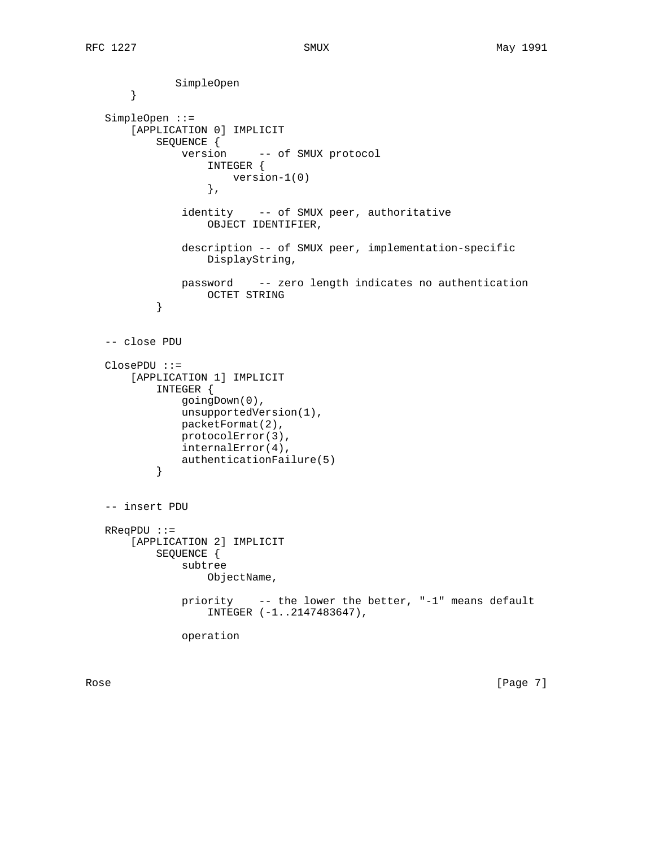```
 SimpleOpen
       }
   SimpleOpen ::=
       [APPLICATION 0] IMPLICIT
           SEQUENCE {
               version -- of SMUX protocol
                    INTEGER {
                       version-1(0)
                    },
                identity -- of SMUX peer, authoritative
                    OBJECT IDENTIFIER,
                description -- of SMUX peer, implementation-specific
                    DisplayString,
               password -- zero length indicates no authentication
           OCTET STRING<br>}
 }
   -- close PDU
   ClosePDU ::=
       [APPLICATION 1] IMPLICIT
            INTEGER {
               goingDown(0),
               unsupportedVersion(1),
               packetFormat(2),
               protocolError(3),
               internalError(4),
           authenticationFailure(5)<br>}
 }
   -- insert PDU
   RReqPDU ::=
       [APPLICATION 2] IMPLICIT
           SEQUENCE {
               subtree
                   ObjectName,
               priority -- the lower the better, "-1" means default
                    INTEGER (-1..2147483647),
               operation
```
Rose [Page 7]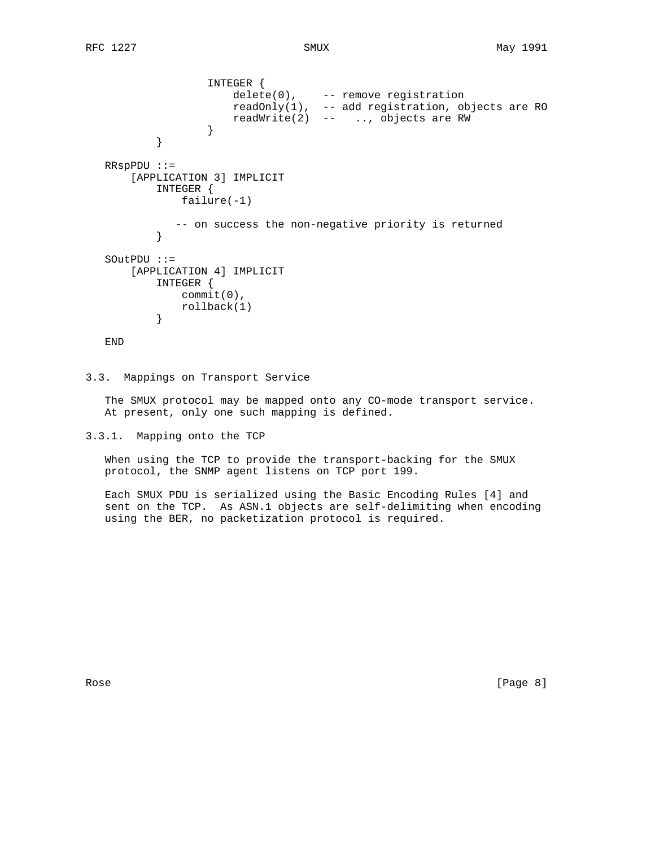```
 INTEGER {
 delete(0), -- remove registration
 readOnly(1), -- add registration, objects are RO
 readWrite(2) -- .., objects are RW
 }
 }
   RRspPDU ::=
      [APPLICATION 3] IMPLICIT
         INTEGER {
            failure(-1)
        -- on success the non-negative priority is returned }
 }
   SOutPDU ::=
      [APPLICATION 4] IMPLICIT
         INTEGER {
           commit(0),
        rollback(1)<br>}
 }
```
END

3.3. Mappings on Transport Service

 The SMUX protocol may be mapped onto any CO-mode transport service. At present, only one such mapping is defined.

3.3.1. Mapping onto the TCP

 When using the TCP to provide the transport-backing for the SMUX protocol, the SNMP agent listens on TCP port 199.

 Each SMUX PDU is serialized using the Basic Encoding Rules [4] and sent on the TCP. As ASN.1 objects are self-delimiting when encoding using the BER, no packetization protocol is required.

Rose [Page 8]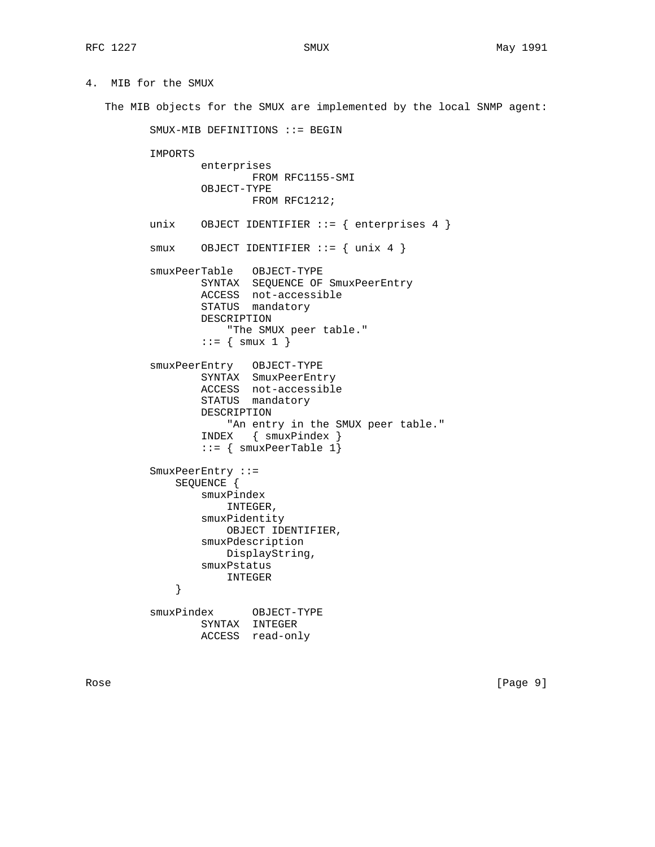4. MIB for the SMUX

The MIB objects for the SMUX are implemented by the local SNMP agent:

SMUX-MIB DEFINITIONS ::= BEGIN

IMPORTS

```
 enterprises
         FROM RFC1155-SMI
 OBJECT-TYPE
         FROM RFC1212;
```

```
unix OBJECT IDENTIFIER ::= { enterprises 4 }
```

```
 smux OBJECT IDENTIFIER ::= { unix 4 }
```

```
 smuxPeerTable OBJECT-TYPE
 SYNTAX SEQUENCE OF SmuxPeerEntry
               ACCESS not-accessible
                STATUS mandatory
               DESCRIPTION
                   "The SMUX peer table."
```

```
::= \{ smux 1 \}
```

```
 smuxPeerEntry OBJECT-TYPE
SYNTAX SmuxPeerEntry
 ACCESS not-accessible
STATUS mandatory
               DESCRIPTION
                   "An entry in the SMUX peer table."
                INDEX { smuxPindex }
               ::= { smuxPercentable 1} SmuxPeerEntry ::=
            SEQUENCE {
               smuxPindex
                   INTEGER,
                smuxPidentity
                  OBJECT IDENTIFIER,
                smuxPdescription
                  DisplayString,
               smuxPstatus
            INTEGER
 }
```

```
 smuxPindex OBJECT-TYPE
        SYNTAX INTEGER
        ACCESS read-only
```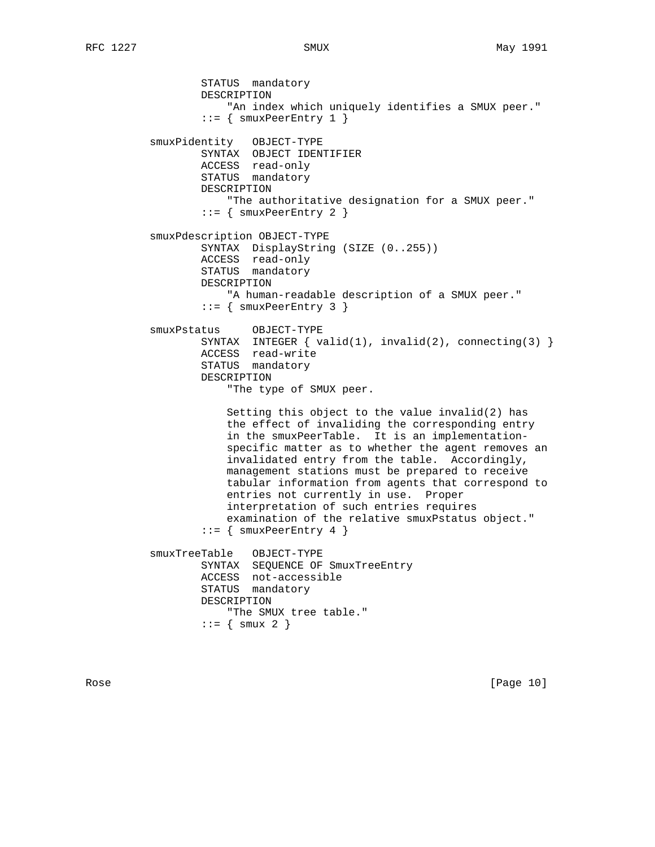STATUS mandatory DESCRIPTION "An index which uniquely identifies a SMUX peer."  $::=$  { smuxPeerEntry 1 } smuxPidentity OBJECT-TYPE SYNTAX OBJECT IDENTIFIER ACCESS read-only STATUS mandatory DESCRIPTION "The authoritative designation for a SMUX peer."  $::=$  { smuxPeerEntry 2 } smuxPdescription OBJECT-TYPE SYNTAX DisplayString (SIZE (0..255)) ACCESS read-only STATUS mandatory DESCRIPTION "A human-readable description of a SMUX peer."  $::= \{$  smuxPeerEntry 3  $\}$  smuxPstatus OBJECT-TYPE SYNTAX INTEGER { valid(1), invalid(2), connecting(3) } ACCESS read-write STATUS mandatory DESCRIPTION "The type of SMUX peer. Setting this object to the value invalid(2) has the effect of invaliding the corresponding entry in the smuxPeerTable. It is an implementation specific matter as to whether the agent removes an invalidated entry from the table. Accordingly, management stations must be prepared to receive tabular information from agents that correspond to entries not currently in use. Proper interpretation of such entries requires examination of the relative smuxPstatus object."  $::=$  { smuxPeerEntry 4 } smuxTreeTable OBJECT-TYPE SYNTAX SEQUENCE OF SmuxTreeEntry ACCESS not-accessible STATUS mandatory DESCRIPTION "The SMUX tree table."  $::= { \text{ smux 2 }}$ 

Rose [Page 10]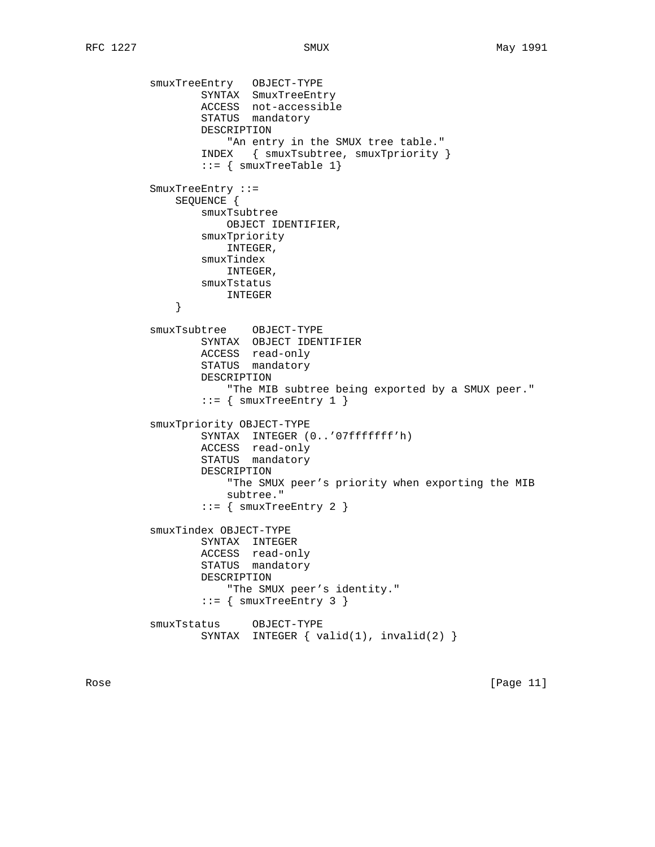```
 smuxTreeEntry OBJECT-TYPE
SYNTAX SmuxTreeEntry
 ACCESS not-accessible
STATUS mandatory
                 DESCRIPTION
                     "An entry in the SMUX tree table."
                 INDEX { smuxTsubtree, smuxTpriority }
                ::= { smuxTreeTable 1}
         SmuxTreeEntry ::=
             SEQUENCE {
                 smuxTsubtree
                    OBJECT IDENTIFIER,
                 smuxTpriority
                    INTEGER,
                 smuxTindex
                    INTEGER,
                smuxTstatus
             INTEGER
 }
          smuxTsubtree OBJECT-TYPE
                 SYNTAX OBJECT IDENTIFIER
                 ACCESS read-only
                 STATUS mandatory
                 DESCRIPTION
                     "The MIB subtree being exported by a SMUX peer."
                ::= { smuxTreeEntry 1 }
         smuxTpriority OBJECT-TYPE
                 SYNTAX INTEGER (0..'07fffffff'h)
                 ACCESS read-only
                 STATUS mandatory
                 DESCRIPTION
                     "The SMUX peer's priority when exporting the MIB
                    subtree."
                 ::= { smuxTreeEntry 2 }
         smuxTindex OBJECT-TYPE
                 SYNTAX INTEGER
 ACCESS read-only
STATUS mandatory
                 DESCRIPTION
                    "The SMUX peer's identity."
                ::= { smuxTreeEntry 3 }
         smuxTstatus OBJECT-TYPE
                SYNTAX INTEGER { valid(1), invalid(2) }
```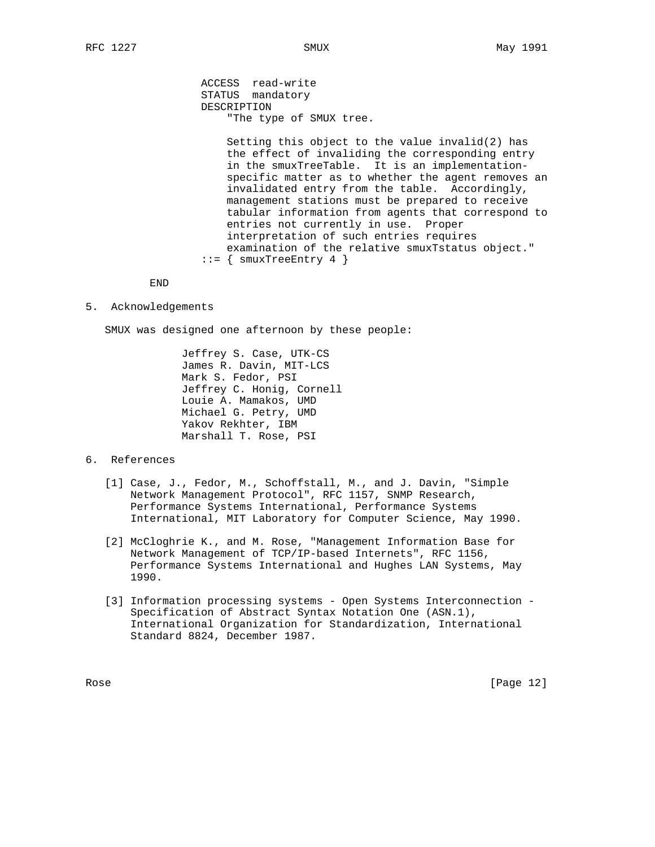ACCESS read-write STATUS mandatory DESCRIPTION "The type of SMUX tree.

 Setting this object to the value invalid(2) has the effect of invaliding the corresponding entry in the smuxTreeTable. It is an implementation specific matter as to whether the agent removes an invalidated entry from the table. Accordingly, management stations must be prepared to receive tabular information from agents that correspond to entries not currently in use. Proper interpretation of such entries requires examination of the relative smuxTstatus object."  $::=$  { smuxTreeEntry 4 }

END

5. Acknowledgements

SMUX was designed one afternoon by these people:

 Jeffrey S. Case, UTK-CS James R. Davin, MIT-LCS Mark S. Fedor, PSI Jeffrey C. Honig, Cornell Louie A. Mamakos, UMD Michael G. Petry, UMD Yakov Rekhter, IBM Marshall T. Rose, PSI

## 6. References

- [1] Case, J., Fedor, M., Schoffstall, M., and J. Davin, "Simple Network Management Protocol", RFC 1157, SNMP Research, Performance Systems International, Performance Systems International, MIT Laboratory for Computer Science, May 1990.
- [2] McCloghrie K., and M. Rose, "Management Information Base for Network Management of TCP/IP-based Internets", RFC 1156, Performance Systems International and Hughes LAN Systems, May 1990.
- [3] Information processing systems Open Systems Interconnection Specification of Abstract Syntax Notation One (ASN.1), International Organization for Standardization, International Standard 8824, December 1987.

Rose [Page 12]